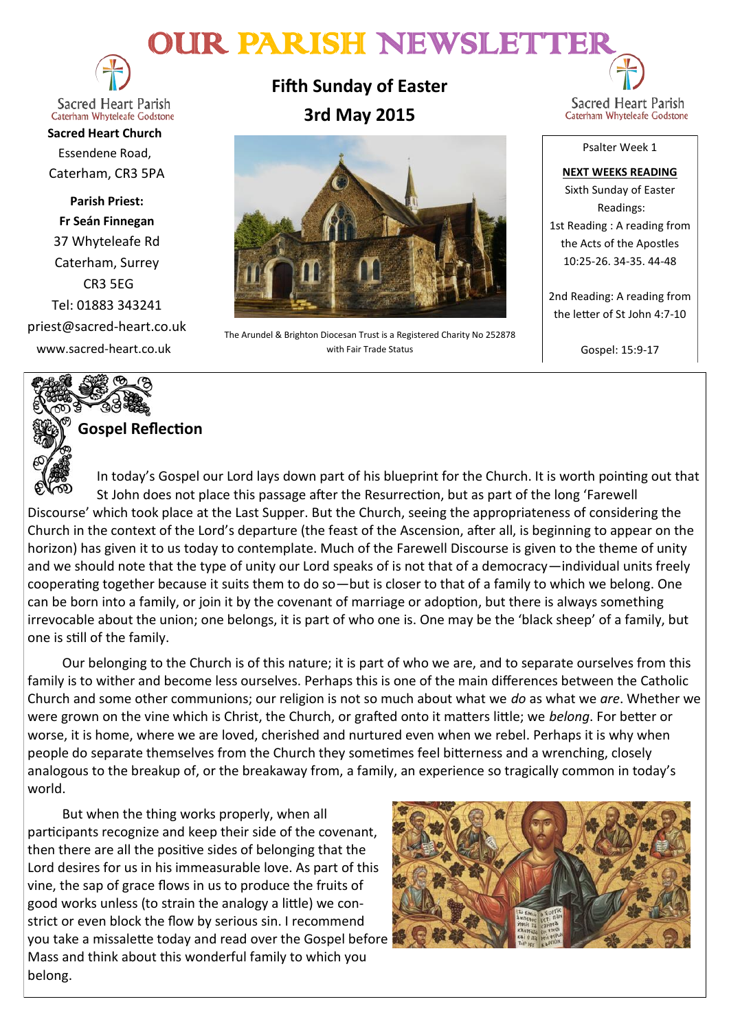# OUR PARISH NEWSLETTER

**Fifth Sunday of Easter**

**3rd May 2015**



**Sacred Heart Parish** Caterham Whyteleafe Godstone

**Sacred Heart Church** Essendene Road, Caterham, CR3 5PA

**Parish Priest: Fr Seán Finnegan** 37 Whyteleafe Rd Caterham, Surrey CR3 5EG Tel: 01883 343241 priest@sacred-heart.co.uk www.sacred-heart.co.uk



The Arundel & Brighton Diocesan Trust is a Registered Charity No 252878 with Fair Trade Status

Sacred Heart Parish Caterham Whyteleafe Godstone

Psalter Week 1

**NEXT WEEKS READING** Sixth Sunday of Easter Readings: 1st Reading : A reading from the Acts of the Apostles 10:25-26. 34-35. 44-48

2nd Reading: A reading from the letter of St John 4:7-10

Gospel: 15:9-17



# **Gospel Reflection**

In today's Gospel our Lord lays down part of his blueprint for the Church. It is worth pointing out that St John does not place this passage after the Resurrection, but as part of the long 'Farewell Discourse' which took place at the Last Supper. But the Church, seeing the appropriateness of considering the Church in the context of the Lord's departure (the feast of the Ascension, after all, is beginning to appear on the horizon) has given it to us today to contemplate. Much of the Farewell Discourse is given to the theme of unity and we should note that the type of unity our Lord speaks of is not that of a democracy—individual units freely cooperating together because it suits them to do so—but is closer to that of a family to which we belong. One can be born into a family, or join it by the covenant of marriage or adoption, but there is always something irrevocable about the union; one belongs, it is part of who one is. One may be the 'black sheep' of a family, but one is still of the family.

Our belonging to the Church is of this nature; it is part of who we are, and to separate ourselves from this family is to wither and become less ourselves. Perhaps this is one of the main differences between the Catholic Church and some other communions; our religion is not so much about what we *do* as what we *are*. Whether we were grown on the vine which is Christ, the Church, or grafted onto it matters little; we *belong*. For better or worse, it is home, where we are loved, cherished and nurtured even when we rebel. Perhaps it is why when people do separate themselves from the Church they sometimes feel bitterness and a wrenching, closely analogous to the breakup of, or the breakaway from, a family, an experience so tragically common in today's world.

But when the thing works properly, when all participants recognize and keep their side of the covenant, then there are all the positive sides of belonging that the Lord desires for us in his immeasurable love. As part of this vine, the sap of grace flows in us to produce the fruits of good works unless (to strain the analogy a little) we constrict or even block the flow by serious sin. I recommend you take a missalette today and read over the Gospel before Mass and think about this wonderful family to which you belong.

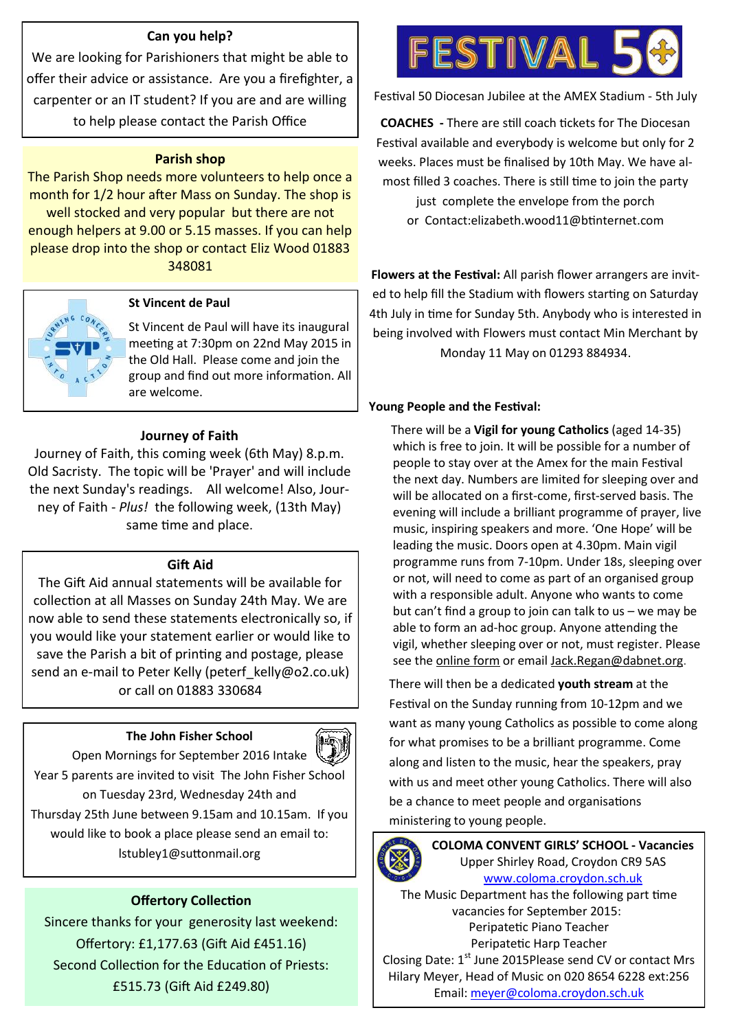# **Can you help?**

We are looking for Parishioners that might be able to offer their advice or assistance. Are you a firefighter, a carpenter or an IT student? If you are and are willing to help please contact the Parish Office

#### **Parish shop**

The Parish Shop needs more volunteers to help once a month for 1/2 hour after Mass on Sunday. The shop is well stocked and very popular but there are not enough helpers at 9.00 or 5.15 masses. If you can help please drop into the shop or contact Eliz Wood 01883 348081



#### **St Vincent de Paul**

St Vincent de Paul will have its inaugural meeting at 7:30pm on 22nd May 2015 in the Old Hall. Please come and join the group and find out more information. All are welcome.

#### **Journey of Faith**

Journey of Faith, this coming week (6th May) 8.p.m. Old Sacristy. The topic will be 'Prayer' and will include the next Sunday's readings. All welcome! Also, Journey of Faith - *Plus!* the following week, (13th May) same time and place.

#### **Gift Aid**

The Gift Aid annual statements will be available for collection at all Masses on Sunday 24th May. We are now able to send these statements electronically so, if you would like your statement earlier or would like to save the Parish a bit of printing and postage, please send an e-mail to Peter Kelly (peterf kelly@o2.co.uk) or call on 01883 330684

#### **The John Fisher School**



Open Mornings for September 2016 Intake Year 5 parents are invited to visit The John Fisher School on Tuesday 23rd, Wednesday 24th and Thursday 25th June between 9.15am and 10.15am. If you would like to book a place please send an email to: lstubley1@suttonmail.org

#### **Offertory Collection**

Sincere thanks for your generosity last weekend: Offertory: £1,177.63 (Gift Aid £451.16) Second Collection for the Education of Priests: £515.73 (Gift Aid £249.80)



Festival 50 Diocesan Jubilee at the AMEX Stadium - 5th July

**COACHES -** There are still coach tickets for The Diocesan Festival available and everybody is welcome but only for 2 weeks. Places must be finalised by 10th May. We have almost filled 3 coaches. There is still time to join the party just complete the envelope from the porch or Contact:elizabeth.wood11@btinternet.com

**Flowers at the Festival:** All parish flower arrangers are invited to help fill the Stadium with flowers starting on Saturday 4th July in time for Sunday 5th. Anybody who is interested in being involved with Flowers must contact Min Merchant by Monday 11 May on 01293 884934.

#### **Young People and the Festival:**

There will be a **Vigil for young Catholics** (aged 14-35) which is free to join. It will be possible for a number of people to stay over at the Amex for the main Festival the next day. Numbers are limited for sleeping over and will be allocated on a first-come, first-served basis. The evening will include a brilliant programme of prayer, live music, inspiring speakers and more. 'One Hope' will be leading the music. Doors open at 4.30pm. Main vigil programme runs from 7-10pm. Under 18s, sleeping over or not, will need to come as part of an organised group with a responsible adult. Anyone who wants to come but can't find a group to join can talk to us – we may be able to form an ad-hoc group. Anyone attending the vigil, whether sleeping over or not, must register. Please see the [online form](http://x4io.mj.am/link/x4io/i12igpg/14/FaRxyGd_nYjreriCpSiZpA/aHR0cDovL2JpdC5seS9mZXN0aXZhbDUweW91dGg) or email [Jack.Regan@dabnet.org.](mailto:Jack.Regan@dabnet.org?subject=Youth%20Vigil%20Festival%2050)

There will then be a dedicated **youth stream** at the Festival on the Sunday running from 10-12pm and we want as many young Catholics as possible to come along for what promises to be a brilliant programme. Come along and listen to the music, hear the speakers, pray with us and meet other young Catholics. There will also be a chance to meet people and organisations ministering to young people.



**COLOMA CONVENT GIRLS' SCHOOL - Vacancies** Upper Shirley Road, Croydon CR9 5AS [www.coloma.croydon.sch.uk](http://www.coloma.croydon.sch.uk/)

The Music Department has the following part time vacancies for September 2015: Peripatetic Piano Teacher Peripatetic Harp Teacher Closing Date: 1<sup>st</sup> June 2015Please send CV or contact Mrs Hilary Meyer, Head of Music on 020 8654 6228 ext:256 Email: [meyer@coloma.croydon.sch.uk](mailto:meyer@coloma.croydon.sch.uk)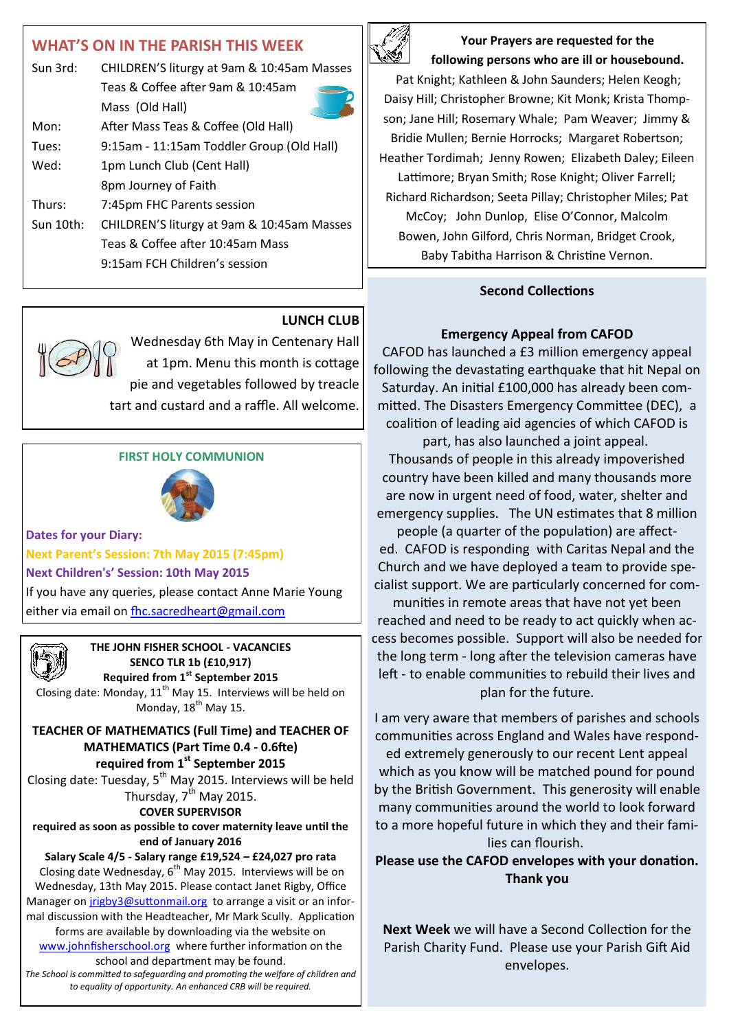| <b>WHAT'S ON IN THE PARISH THIS WEEK</b>   |  |  |  |
|--------------------------------------------|--|--|--|
| CHILDREN'S liturgy at 9am & 10:45am Masses |  |  |  |
| Teas & Coffee after 9am & 10:45am          |  |  |  |
| Mass (Old Hall)                            |  |  |  |
| After Mass Teas & Coffee (Old Hall)        |  |  |  |
| 9:15am - 11:15am Toddler Group (Old Hall)  |  |  |  |
| 1pm Lunch Club (Cent Hall)                 |  |  |  |
| 8pm Journey of Faith                       |  |  |  |
| 7:45pm FHC Parents session                 |  |  |  |
| CHILDREN'S liturgy at 9am & 10:45am Masses |  |  |  |
| Teas & Coffee after 10:45am Mass           |  |  |  |
| 9:15am FCH Children's session              |  |  |  |
|                                            |  |  |  |

# **LUNCH CLUB**



Wednesday 6th May in Centenary Hall at 1pm. Menu this month is cottage pie and vegetables followed by treacle tart and custard and a raffle. All welcome.

#### **FIRST HOLY COMMUNION**



**Dates for your Diary: Next Parent's Session: 7th May 2015 (7:45pm) Next Children's' Session: 10th May 2015** If you have any queries, please contact Anne Marie Young either via email on fhc.sacredheart@gmail.com

> **THE JOHN FISHER SCHOOL - VACANCIES SENCO TLR 1b (£10,917) Required from 1st September 2015**

Closing date: Monday,  $11<sup>th</sup>$  May 15. Interviews will be held on Monday, 18<sup>th</sup> May 15.

**TEACHER OF MATHEMATICS (Full Time) and TEACHER OF MATHEMATICS (Part Time 0.4 - 0.6fte) required from 1st September 2015** 

Closing date: Tuesday, 5<sup>th</sup> May 2015. Interviews will be held Thursday,  $7<sup>th</sup>$  May 2015.

**COVER SUPERVISOR**

**required as soon as possible to cover maternity leave until the end of January 2016**

**Salary Scale 4/5 - Salary range £19,524 – £24,027 pro rata** Closing date Wednesday,  $6<sup>th</sup>$  May 2015. Interviews will be on Wednesday, 13th May 2015. Please contact Janet Rigby, Office Manager on [jrigby3@suttonmail.org](mailto:jrigby3@suttonmail.org) to arrange a visit or an informal discussion with the Headteacher, Mr Mark Scully. Application forms are available by downloading via the website on [www.johnfisherschool.org](http://www.johnfisherschool.org) where further information on the school and department may be found.

*The School is committed to safeguarding and promoting the welfare of children and to equality of opportunity. An enhanced CRB will be required.*



**Your Prayers are requested for the following persons who are ill or housebound.** 

Pat Knight; Kathleen & John Saunders; Helen Keogh; Daisy Hill; Christopher Browne; Kit Monk; Krista Thompson; Jane Hill; Rosemary Whale; Pam Weaver; Jimmy & Bridie Mullen; Bernie Horrocks; Margaret Robertson; Heather Tordimah; Jenny Rowen; Elizabeth Daley; Eileen Lattimore; Bryan Smith; Rose Knight; Oliver Farrell; Richard Richardson; Seeta Pillay; Christopher Miles; Pat McCoy; John Dunlop, Elise O'Connor, Malcolm Bowen, John Gilford, Chris Norman, Bridget Crook, Baby Tabitha Harrison & Christine Vernon.

### **Second Collections**

## **Emergency Appeal from CAFOD**

CAFOD has launched a £3 million emergency appeal following the devastating earthquake that hit Nepal on Saturday. An initial £100,000 has already been committed. The Disasters Emergency Committee (DEC), a coalition of leading aid agencies of which CAFOD is

part, has also launched a joint appeal. Thousands of people in this already impoverished country have been killed and many thousands more are now in urgent need of food, water, shelter and emergency supplies. The UN estimates that 8 million people (a quarter of the population) are affect-

ed. CAFOD is responding with Caritas Nepal and the Church and we have deployed a team to provide specialist support. We are particularly concerned for com-

munities in remote areas that have not yet been reached and need to be ready to act quickly when access becomes possible. Support will also be needed for the long term - long after the television cameras have left - to enable communities to rebuild their lives and plan for the future.

I am very aware that members of parishes and schools communities across England and Wales have respond-

ed extremely generously to our recent Lent appeal which as you know will be matched pound for pound by the British Government. This generosity will enable many communities around the world to look forward to a more hopeful future in which they and their families can flourish.

**Please use the CAFOD envelopes with your donation. Thank you**

**Next Week** we will have a Second Collection for the Parish Charity Fund. Please use your Parish Gift Aid envelopes.